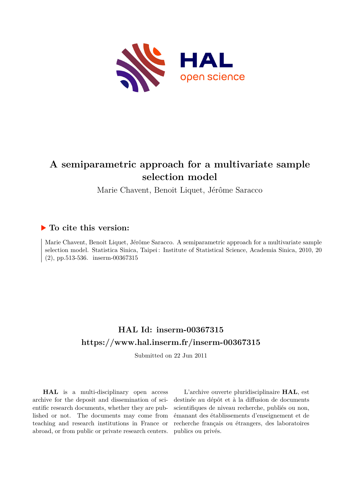

# **A semiparametric approach for a multivariate sample selection model**

Marie Chavent, Benoit Liquet, Jérôme Saracco

# **To cite this version:**

Marie Chavent, Benoit Liquet, Jérôme Saracco. A semiparametric approach for a multivariate sample selection model. Statistica Sinica, Taipei : Institute of Statistical Science, Academia Sinica, 2010, 20  $(2)$ , pp.513-536. inserm-00367315

# **HAL Id: inserm-00367315 <https://www.hal.inserm.fr/inserm-00367315>**

Submitted on 22 Jun 2011

**HAL** is a multi-disciplinary open access archive for the deposit and dissemination of scientific research documents, whether they are published or not. The documents may come from teaching and research institutions in France or abroad, or from public or private research centers.

L'archive ouverte pluridisciplinaire **HAL**, est destinée au dépôt et à la diffusion de documents scientifiques de niveau recherche, publiés ou non, émanant des établissements d'enseignement et de recherche français ou étrangers, des laboratoires publics ou privés.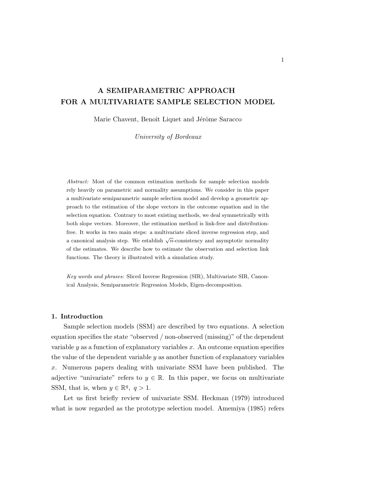# A SEMIPARAMETRIC APPROACH FOR A MULTIVARIATE SAMPLE SELECTION MODEL

Marie Chavent, Benoît Liquet and Jérôme Saracco

University of Bordeaux

Abstract: Most of the common estimation methods for sample selection models rely heavily on parametric and normality assumptions. We consider in this paper a multivariate semiparametric sample selection model and develop a geometric approach to the estimation of the slope vectors in the outcome equation and in the selection equation. Contrary to most existing methods, we deal symmetrically with both slope vectors. Moreover, the estimation method is link-free and distributionfree. It works in two main steps: a multivariate sliced inverse regression step, and a canonical analysis step. We establish  $\sqrt{n}$ -consistency and asymptotic normality of the estimates. We describe how to estimate the observation and selection link functions. The theory is illustrated with a simulation study.

Key words and phrases: Sliced Inverse Regression (SIR), Multivariate SIR, Canonical Analysis, Semiparametric Regression Models, Eigen-decomposition.

## 1. Introduction

Sample selection models (SSM) are described by two equations. A selection equation specifies the state "observed / non-observed (missing)" of the dependent variable  $y$  as a function of explanatory variables  $x$ . An outcome equation specifies the value of the dependent variable y as another function of explanatory variables x. Numerous papers dealing with univariate SSM have been published. The adjective "univariate" refers to  $y \in \mathbb{R}$ . In this paper, we focus on multivariate SSM, that is, when  $y \in \mathbb{R}^q$ ,  $q > 1$ .

Let us first briefly review of univariate SSM. Heckman (1979) introduced what is now regarded as the prototype selection model. Amemiya (1985) refers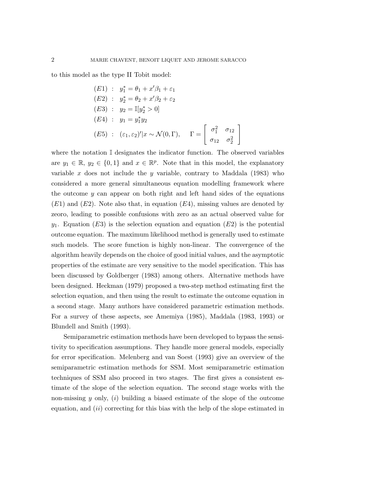to this model as the type II Tobit model:

(E1) : 
$$
y_1^* = \theta_1 + x'\beta_1 + \varepsilon_1
$$
  
\n(E2) :  $y_2^* = \theta_2 + x'\beta_2 + \varepsilon_2$   
\n(E3) :  $y_2 = \mathbb{I}[y_2^* > 0]$   
\n(E4) :  $y_1 = y_1^* y_2$   
\n(E5) :  $(\varepsilon_1, \varepsilon_2)' | x \sim \mathcal{N}(0, \Gamma)$ ,  $\Gamma = \begin{bmatrix} \sigma_1^2 & \sigma_{12} \\ \sigma_{12} & \sigma_2^2 \end{bmatrix}$ 

where the notation I designates the indicator function. The observed variables are  $y_1 \in \mathbb{R}, y_2 \in \{0,1\}$  and  $x \in \mathbb{R}^p$ . Note that in this model, the explanatory variable  $x$  does not include the  $y$  variable, contrary to Maddala (1983) who considered a more general simultaneous equation modelling framework where the outcome y can appear on both right and left hand sides of the equations  $(E1)$  and  $(E2)$ . Note also that, in equation  $(E4)$ , missing values are denoted by zeoro, leading to possible confusions with zero as an actual observed value for  $y_1$ . Equation (E3) is the selection equation and equation (E2) is the potential outcome equation. The maximum likelihood method is generally used to estimate such models. The score function is highly non-linear. The convergence of the algorithm heavily depends on the choice of good initial values, and the asymptotic properties of the estimate are very sensitive to the model specification. This has been discussed by Goldberger (1983) among others. Alternative methods have been designed. Heckman (1979) proposed a two-step method estimating first the selection equation, and then using the result to estimate the outcome equation in a second stage. Many authors have considered parametric estimation methods. For a survey of these aspects, see Amemiya (1985), Maddala (1983, 1993) or Blundell and Smith (1993).

Semiparametric estimation methods have been developed to bypass the sensitivity to specification assumptions. They handle more general models, especially for error specification. Melenberg and van Soest (1993) give an overview of the semiparametric estimation methods for SSM. Most semiparametric estimation techniques of SSM also proceed in two stages. The first gives a consistent estimate of the slope of the selection equation. The second stage works with the non-missing y only,  $(i)$  building a biased estimate of the slope of the outcome equation, and  $(ii)$  correcting for this bias with the help of the slope estimated in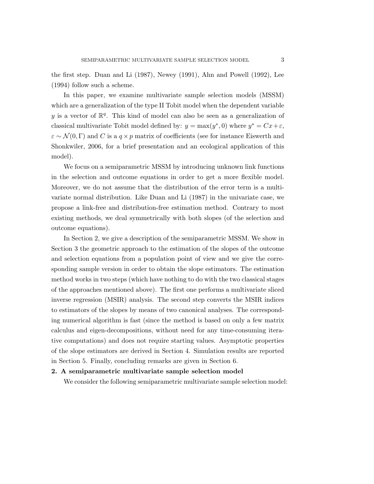the first step. Duan and Li (1987), Newey (1991), Ahn and Powell (1992), Lee (1994) follow such a scheme.

In this paper, we examine multivariate sample selection models (MSSM) which are a generalization of the type II Tobit model when the dependent variable y is a vector of  $\mathbb{R}^q$ . This kind of model can also be seen as a generalization of classical multivariate Tobit model defined by:  $y = \max(y^*, 0)$  where  $y^* = Cx + \varepsilon$ ,  $\varepsilon \sim \mathcal{N}(0, \Gamma)$  and C is a  $q \times p$  matrix of coefficients (see for instance Eiswerth and Shonkwiler, 2006, for a brief presentation and an ecological application of this model).

We focus on a semiparametric MSSM by introducing unknown link functions in the selection and outcome equations in order to get a more flexible model. Moreover, we do not assume that the distribution of the error term is a multivariate normal distribution. Like Duan and Li (1987) in the univariate case, we propose a link-free and distribution-free estimation method. Contrary to most existing methods, we deal symmetrically with both slopes (of the selection and outcome equations).

In Section 2, we give a description of the semiparametric MSSM. We show in Section 3 the geometric approach to the estimation of the slopes of the outcome and selection equations from a population point of view and we give the corresponding sample version in order to obtain the slope estimators. The estimation method works in two steps (which have nothing to do with the two classical stages of the approaches mentioned above). The first one performs a multivariate sliced inverse regression (MSIR) analysis. The second step converts the MSIR indices to estimators of the slopes by means of two canonical analyses. The corresponding numerical algorithm is fast (since the method is based on only a few matrix calculus and eigen-decompositions, without need for any time-consuming iterative computations) and does not require starting values. Asymptotic properties of the slope estimators are derived in Section 4. Simulation results are reported in Section 5. Finally, concluding remarks are given in Section 6.

# 2. A semiparametric multivariate sample selection model

We consider the following semiparametric multivariate sample selection model: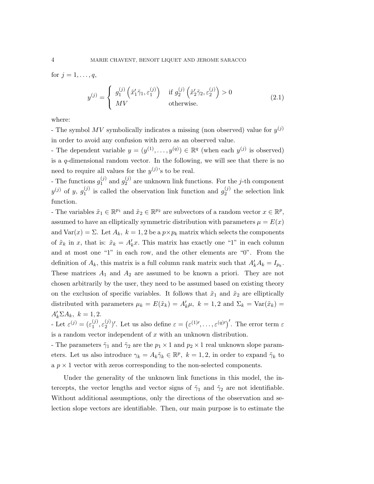for  $j = 1, \ldots, q$ ,

$$
y^{(j)} = \begin{cases} g_1^{(j)}\left(\tilde{x}_1'\tilde{\gamma}_1, \varepsilon_1^{(j)}\right) & \text{if } g_2^{(j)}\left(\tilde{x}_2'\tilde{\gamma}_2, \varepsilon_2^{(j)}\right) > 0\\ MV & \text{otherwise.} \end{cases}
$$
(2.1)

where:

- The symbol  $MV$  symbolically indicates a missing (non observed) value for  $y^{(j)}$ in order to avoid any confusion with zero as an observed value.

- The dependent variable  $y = (y^{(1)}, \ldots, y^{(q)}) \in \mathbb{R}^q$  (when each  $y^{(j)}$  is observed) is a  $q$ -dimensional random vector. In the following, we will see that there is no need to require all values for the  $y^{(j)}$ 's to be real.

- The functions  $g_1^{(j)}$  $j_1^{(j)}$  and  $g_2^{(j)}$  $_2^{(j)}$  are unknown link functions. For the *j*-th component  $y^{(j)}$  of  $y, g_1^{(j)}$  $j_1^{(j)}$  is called the observation link function and  $g_2^{(j)}$  $2^{(J)}$  the selection link function.

- The variables  $\tilde{x}_1 \in \mathbb{R}^{p_1}$  and  $\tilde{x}_2 \in \mathbb{R}^{p_2}$  are subvectors of a random vector  $x \in \mathbb{R}^p$ , assumed to have an elliptically symmetric distribution with parameters  $\mu = E(x)$ and  $\text{Var}(x) = \Sigma$ . Let  $A_k$ ,  $k = 1, 2$  be a  $p \times p_k$  matrix which selects the components of  $\tilde{x}_k$  in x, that is:  $\tilde{x}_k = A'_k x$ . This matrix has exactly one "1" in each column and at most one "1" in each row, and the other elements are "0". From the definition of  $A_k$ , this matrix is a full column rank matrix such that  $A'_k A_k = I_{p_k}$ . These matrices  $A_1$  and  $A_2$  are assumed to be known a priori. They are not chosen arbitrarily by the user, they need to be assumed based on existing theory on the exclusion of specific variables. It follows that  $\tilde{x}_1$  and  $\tilde{x}_2$  are elliptically distributed with parameters  $\mu_k = E(\tilde{x}_k) = A'_k \mu$ ,  $k = 1, 2$  and  $\Sigma_k = \text{Var}(\tilde{x}_k) =$  $A'_k \Sigma A_k, k = 1, 2.$ 

- Let  $\varepsilon^{(j)} = (\varepsilon_1^{(j)})$  $\binom{(j)}{1}, \varepsilon_2^{(j)}$ (*i*)'. Let us also define  $\varepsilon = (\varepsilon^{(1)}, \ldots, \varepsilon^{(q)}')'$ . The error term  $\varepsilon$ is a random vector independent of  $x$  with an unknown distribution.

- The parameters  $\tilde{\gamma}_1$  and  $\tilde{\gamma}_2$  are the  $p_1 \times 1$  and  $p_2 \times 1$  real unknown slope parameters. Let us also introduce  $\gamma_k = A_k \tilde{\gamma}_k \in \mathbb{R}^p$ ,  $k = 1, 2$ , in order to expand  $\tilde{\gamma}_k$  to a  $p \times 1$  vector with zeros corresponding to the non-selected components.

Under the generality of the unknown link functions in this model, the intercepts, the vector lengths and vector signs of  $\tilde{\gamma}_1$  and  $\tilde{\gamma}_2$  are not identifiable. Without additional assumptions, only the directions of the observation and selection slope vectors are identifiable. Then, our main purpose is to estimate the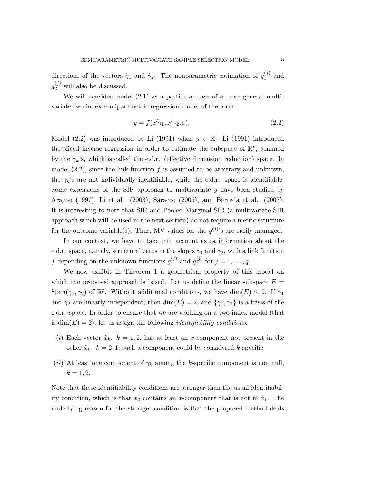directions of the vectors  $\tilde{\gamma}_1$  and  $\tilde{\gamma}_2$ . The nonparametric estimation of  $g_1^{(j)}$  $1^{(J)}$  and  $g_2^{(j)}$  will also be discussed.

We will consider model  $(2.1)$  as a particular case of a more general multivariate two-index semiparametric regression model of the form

$$
y = f(x'\gamma_1, x'\gamma_2, \varepsilon). \tag{2.2}
$$

Model (2.2) was introduced by Li (1991) when  $y \in \mathbb{R}$ . Li (1991) introduced the sliced inverse regression in order to estimate the subspace of  $\mathbb{R}^p$ , spanned by the  $\gamma_k$ 's, which is called the e.d.r. (effective dimension reduction) space. In model  $(2.2)$ , since the link function f is assumed to be arbitrary and unknown, the  $\gamma_k$ 's are not individually identifiable, while the e.d.r. space is identifiable. Some extensions of the SIR approach to multivariate y have been studied by Aragon (1997), Li et al. (2003), Saracco (2005), and Barreda et al. (2007). It is interesting to note that SIR and Pooled Marginal SIR (a multivariate SIR approach which will be used in the next section) do not require a metric structure for the outcome variable(s). Thus, MV values for the  $y^{(j)}$ 's are easily managed.

In our context, we have to take into account extra information about the e.d.r. space, namely, structural zeros in the slopes  $\gamma_1$  and  $\gamma_2$ , with a link function f depending on the unknown functions  $g_1^{(j)}$  $j_1^{(j)}$  and  $g_2^{(j)}$  $y^{(j)}_2$  for  $j = 1, ..., q$ .

We now exhibit in Theorem 1 a geometrical property of this model on which the proposed approach is based. Let us define the linear subspace  $E =$  $Span(\gamma_1, \gamma_2)$  of  $\mathbb{R}^p$ . Without additional conditions, we have  $dim(E) \leq 2$ . If  $\gamma_1$ and  $\gamma_2$  are linearly independent, then dim(E) = 2, and  $\{\gamma_1, \gamma_2\}$  is a basis of the e.d.r. space. In order to ensure that we are working on a two-index model (that is  $\dim(E) = 2$ , let us assign the following *identifiability conditions:* 

- (i) Each vector  $\tilde{x}_k$ ,  $k = 1, 2$ , has at least an x-component not present in the other  $\tilde{x}_k$ ,  $k = 2, 1$ ; such a component could be considered k-specific.
- (ii) At least one component of  $\gamma_k$  among the k-specific component is non null,  $k = 1, 2.$

Note that these identifiability conditions are stronger than the usual identifiability condition, which is that  $\tilde{x}_2$  contains an x-component that is not in  $\tilde{x}_1$ . The underlying reason for the stronger condition is that the proposed method deals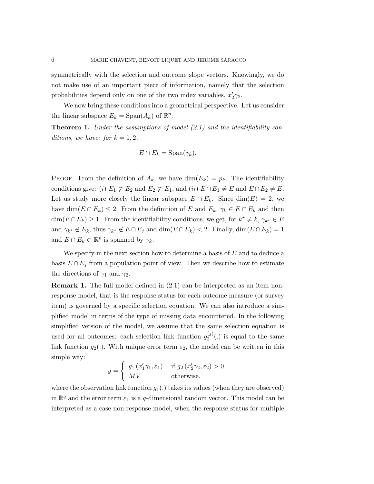symmetrically with the selection and outcome slope vectors. Knowingly, we do not make use of an important piece of information, namely that the selection probabilities depend only on one of the two index variables,  $\tilde{x}'_2$  $\tilde{2}\tilde{\gamma}_2.$ 

We now bring these conditions into a geometrical perspective. Let us consider the linear subspace  $E_k = \text{Span}(A_k)$  of  $\mathbb{R}^p$ .

**Theorem 1.** Under the assumptions of model  $(2.1)$  and the identifiability conditions, we have: for  $k = 1, 2$ ,

$$
E \cap E_k = \mathrm{Span}(\gamma_k).
$$

PROOF. From the definition of  $A_k$ , we have  $\dim(E_k) = p_k$ . The identifiability conditions give: (i)  $E_1 \not\subset E_2$  and  $E_2 \not\subset E_1$ , and (ii)  $E \cap E_1 \neq E$  and  $E \cap E_2 \neq E$ . Let us study more closely the linear subspace  $E \cap E_k$ . Since  $\dim(E) = 2$ , we have  $\dim(E \cap E_k) \leq 2$ . From the definition of E and  $E_k$ ,  $\gamma_k \in E \cap E_k$  and then  $\dim(E \cap E_k) \geq 1$ . From the identifiability conditions, we get, for  $k^* \neq k$ ,  $\gamma_{k^*} \in E$ and  $\gamma_{k^*} \notin E_k$ , thus  $\gamma_{k^*} \notin E \cap E_j$  and  $\dim(E \cap E_k) < 2$ . Finally,  $\dim(E \cap E_k) = 1$ and  $E \cap E_k \subset \mathbb{R}^p$  is spanned by  $\gamma_k$ .

We specify in the next section how to determine a basis of  $E$  and to deduce a basis  $E \cap E_i$  from a population point of view. Then we describe how to estimate the directions of  $\gamma_1$  and  $\gamma_2$ .

Remark 1. The full model defined in (2.1) can be interpreted as an item nonresponse model, that is the response status for each outcome measure (or survey item) is governed by a specific selection equation. We can also introduce a simplified model in terms of the type of missing data encountered. In the following simplified version of the model, we assume that the same selection equation is used for all outcomes: each selection link function  $g_2^{(j)}$  $2^{(1)}(t)$  is equal to the same link function  $g_2(.)$ . With unique error term  $\varepsilon_2$ , the model can be written in this simple way:

$$
y = \begin{cases} g_1(\tilde{x}'_1 \tilde{\gamma}_1, \varepsilon_1) & \text{if } g_2(\tilde{x}'_2 \tilde{\gamma}_2, \varepsilon_2) > 0 \\ MV & \text{otherwise.} \end{cases}
$$

where the observation link function  $g_1(.)$  takes its values (when they are observed) in  $\mathbb{R}^q$  and the error term  $\varepsilon_1$  is a q-dimensional random vector. This model can be interpreted as a case non-response model, when the response status for multiple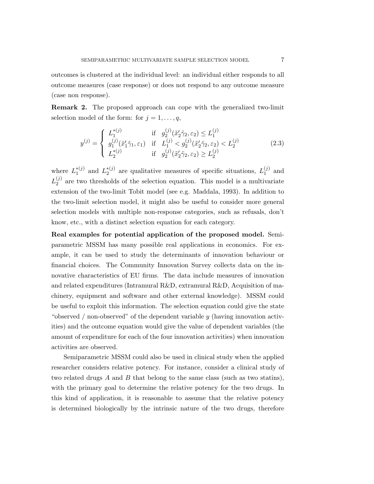outcomes is clustered at the individual level: an individual either responds to all outcome measures (case response) or does not respond to any outcome measure (case non response).

Remark 2. The proposed approach can cope with the generalized two-limit selection model of the form: for  $j = 1, \ldots, q$ ,

$$
y^{(j)} = \begin{cases} L_1^{*(j)} & \text{if } g_2^{(j)}(\tilde{x}_2' \tilde{\gamma}_2, \varepsilon_2) \le L_1^{(j)} \\ g_1^{(j)}(\tilde{x}_1' \tilde{\gamma}_1, \varepsilon_1) & \text{if } L_1^{(j)} < g_2^{(j)}(\tilde{x}_2' \tilde{\gamma}_2, \varepsilon_2) < L_2^{(j)} \\ L_2^{*(j)} & \text{if } g_2^{(j)}(\tilde{x}_2' \tilde{\gamma}_2, \varepsilon_2) \ge L_2^{(j)} \end{cases} \tag{2.3}
$$

where  $L_1^{*(j)}$  $_1^{*(j)}$  and  $L_2^{*(j)}$  $z_2^{*(j)}$  are qualitative measures of specific situations,  $L_1^{(j)}$  $_1^{(J)}$  and  $L_2^{(j)}$  $2<sup>(J)</sup>$  are two thresholds of the selection equation. This model is a multivariate extension of the two-limit Tobit model (see e.g. Maddala, 1993). In addition to the two-limit selection model, it might also be useful to consider more general selection models with multiple non-response categories, such as refusals, don't know, etc., with a distinct selection equation for each category.

Real examples for potential application of the proposed model. Semiparametric MSSM has many possible real applications in economics. For example, it can be used to study the determinants of innovation behaviour or financial choices. The Community Innovation Survey collects data on the innovative characteristics of EU firms. The data include measures of innovation and related expenditures (Intramural R&D, extramural R&D, Acquisition of machinery, equipment and software and other external knowledge). MSSM could be useful to exploit this information. The selection equation could give the state "observed / non-observed" of the dependent variable  $\gamma$  (having innovation activities) and the outcome equation would give the value of dependent variables (the amount of expenditure for each of the four innovation activities) when innovation activities are observed.

Semiparametric MSSM could also be used in clinical study when the applied researcher considers relative potency. For instance, consider a clinical study of two related drugs A and B that belong to the same class (such as two statins), with the primary goal to determine the relative potency for the two drugs. In this kind of application, it is reasonable to assume that the relative potency is determined biologically by the intrinsic nature of the two drugs, therefore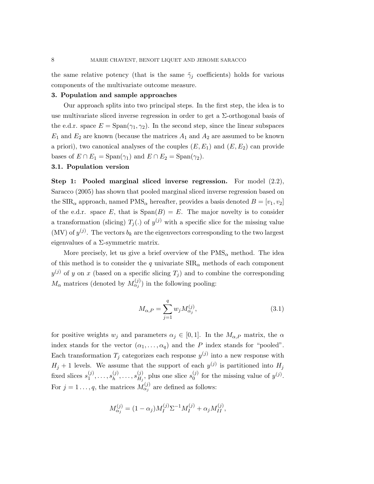the same relative potency (that is the same  $\tilde{\gamma}_i$  coefficients) holds for various components of the multivariate outcome measure.

## 3. Population and sample approaches

Our approach splits into two principal steps. In the first step, the idea is to use multivariate sliced inverse regression in order to get a  $\Sigma$ -orthogonal basis of the e.d.r. space  $E = \text{Span}(\gamma_1, \gamma_2)$ . In the second step, since the linear subspaces  $E_1$  and  $E_2$  are known (because the matrices  $A_1$  and  $A_2$  are assumed to be known a priori), two canonical analyses of the couples  $(E, E_1)$  and  $(E, E_2)$  can provide bases of  $E \cap E_1 = \text{Span}(\gamma_1)$  and  $E \cap E_2 = \text{Span}(\gamma_2)$ .

#### 3.1. Population version

Step 1: Pooled marginal sliced inverse regression. For model  $(2.2)$ , Saracco (2005) has shown that pooled marginal sliced inverse regression based on the  $\text{SIR}_{\alpha}$  approach, named  $\text{PMS}_{\alpha}$  hereafter, provides a basis denoted  $B = [v_1, v_2]$ of the e.d.r. space E, that is  $Span(B) = E$ . The major novelty is to consider a transformation (slicing)  $T_j(.)$  of  $y^{(j)}$  with a specific slice for the missing value (MV) of  $y^{(j)}$ . The vectors  $b_k$  are the eigenvectors corresponding to the two largest eigenvalues of a  $\Sigma$ -symmetric matrix.

More precisely, let us give a brief overview of the  $PMS_{\alpha}$  method. The idea of this method is to consider the q univariate  $\text{SIR}_{\alpha}$  methods of each component  $y^{(j)}$  of y on x (based on a specific slicing  $T_j$ ) and to combine the corresponding  $M_{\alpha}$  matrices (denoted by  $M_{\alpha_j}^{(j)}$ ) in the following pooling:

$$
M_{\alpha,P} = \sum_{j=1}^{q} w_j M_{\alpha_j}^{(j)},
$$
\n(3.1)

for positive weights  $w_j$  and parameters  $\alpha_j \in [0,1]$ . In the  $M_{\alpha,P}$  matrix, the  $\alpha$ index stands for the vector  $(\alpha_1, \ldots, \alpha_q)$  and the P index stands for "pooled". Each transformation  $T_j$  categorizes each response  $y^{(j)}$  into a new response with  $H_j + 1$  levels. We assume that the support of each  $y^{(j)}$  is partitioned into  $H_j$ fixed slices  $s_1^{(j)}$  $s_1^{(j)}, \ldots, s_h^{(j)}$  $s_h^{(j)},\ldots,s_{H_j}^{(j)}$  $\mathcal{H}_{H_j}^{(j)}$ , plus one slice  $s_0^{(j)}$  $j^{(j)}$  for the missing value of  $y^{(j)}$ . For  $j = 1 \ldots, q$ , the matrices  $M_{\alpha_j}^{(j)}$  are defined as follows:

$$
M_{\alpha_j}^{(j)} = (1 - \alpha_j) M_I^{(j)} \Sigma^{-1} M_I^{(j)} + \alpha_j M_{II}^{(j)},
$$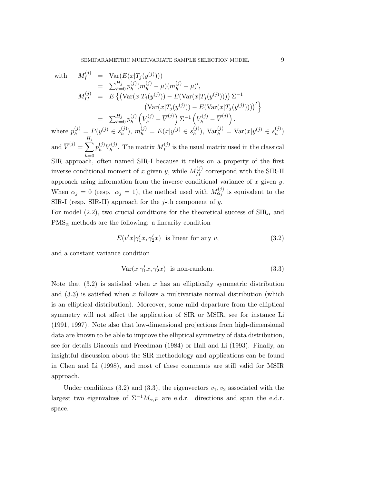with 
$$
M_I^{(j)} = \text{Var}(E(x|T_j(y^{(j)})))
$$
  
\n
$$
= \sum_{h=0}^{H_j} p_h^{(j)}(m_h^{(j)} - \mu)(m_h^{(j)} - \mu)',
$$
  
\n
$$
M_{II}^{(j)} = E\{(\text{Var}(x|T_j(y^{(j)})) - E(\text{Var}(x|T_j(y^{(j)})))) \Sigma^{-1}
$$
  
\n
$$
(\text{Var}(x|T_j(y^{(j)})) - E(\text{Var}(x|T_j(y^{(j)}))))')\}
$$
  
\n
$$
= \sum_{h=0}^{H_j} p_h^{(j)} (V_h^{(j)} - \overline{V}^{(j)}) \Sigma^{-1} (V_h^{(j)} - \overline{V}^{(j)}),
$$
  
\nwhere  $p_h^{(j)} = P(y^{(j)} \in s_h^{(j)}), m_h^{(j)} = E(x|y^{(j)} \in s_h^{(j)}), \text{Var}_h^{(j)} = \text{Var}(x|y^{(j)} \in s_h^{(j)})$ 

and  $\overline{V}^{(j)} = \sum$  $_{Hj}$  $h=0$  $p_h^{(j)}$  $_{h}^{\left( j\right) }V_{h}^{\left( j\right) }$  $h^{(j)}$ . The matrix  $M_I^{(j)}$  $I_I^{(J)}$  is the usual matrix used in the classical SIR approach, often named SIR-I because it relies on a property of the first inverse conditional moment of x given y, while  $M_{II}^{(j)}$  correspond with the SIR-II approach using information from the inverse conditional variance of  $x$  given  $y$ . When  $\alpha_j = 0$  (resp.  $\alpha_j = 1$ ), the method used with  $M_{\alpha_j}^{(j)}$  is equivalent to the SIR-I (resp. SIR-II) approach for the  $j$ -th component of  $y$ .

For model (2.2), two crucial conditions for the theoretical success of  $\text{SIR}_{\alpha}$  and  $PMS_{\alpha}$  methods are the following: a linearity condition

$$
E(v'x|\gamma_1'x,\gamma_2'x) \text{ is linear for any } v,
$$
\n(3.2)

and a constant variance condition

$$
Var(x|\gamma_1'x, \gamma_2'x) \text{ is non-random.}
$$
 (3.3)

Note that  $(3.2)$  is satisfied when x has an elliptically symmetric distribution and  $(3.3)$  is satisfied when x follows a multivariate normal distribution (which is an elliptical distribution). Moreover, some mild departure from the elliptical symmetry will not affect the application of SIR or MSIR, see for instance Li (1991, 1997). Note also that low-dimensional projections from high-dimensional data are known to be able to improve the elliptical symmetry of data distribution, see for details Diaconis and Freedman (1984) or Hall and Li (1993). Finally, an insightful discussion about the SIR methodology and applications can be found in Chen and Li (1998), and most of these comments are still valid for MSIR approach.

Under conditions (3.2) and (3.3), the eigenvectors  $v_1, v_2$  associated with the largest two eigenvalues of  $\Sigma^{-1}M_{\alpha,P}$  are e.d.r. directions and span the e.d.r. space.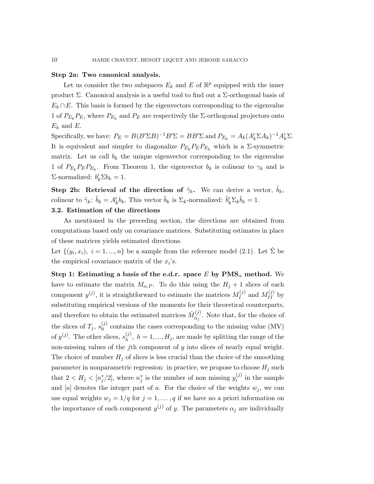#### Step 2a: Two canonical analysis.

Let us consider the two subspaces  $E_k$  and E of  $\mathbb{R}^p$  equipped with the inner product Σ. Canonical analysis is a useful tool to find out a Σ-orthogonal basis of  $E_k \cap E$ . This basis is formed by the eigenvectors corresponding to the eigenvalue 1 of  $P_{E_k}P_E$ , where  $P_{E_k}$  and  $P_E$  are respectively the  $\Sigma$ -orthogonal projectors onto  $E_k$  and E.

Specifically, we have:  $P_E = B(B'\Sigma B)^{-1}B'\Sigma = BB'\Sigma$  and  $P_{E_k} = A_k(A'_k \Sigma A_k)^{-1}A'_k \Sigma$ . It is equivalent and simpler to diagonalize  $P_{E_k} P_E P_{E_k}$  which is a  $\Sigma$ -symmetric matrix. Let us call  $b_k$  the unique eigenvector corresponding to the eigenvalue 1 of  $P_{E_k}P_{E}P_{E_k}$ . From Theorem 1, the eigenvector  $b_k$  is colinear to  $\gamma_k$  and is Σ-normalized:  $b'_k \Sigma b_k = 1$ .

Step 2b: Retrieval of the direction of  $\tilde{\gamma}_k$ . We can derive a vector,  $\tilde{b}_k$ , colinear to  $\tilde{\gamma}_k$ :  $\tilde{b}_k = A'_k b_k$ . This vector  $\tilde{b}_k$  is  $\Sigma_k$ -normalized:  $\tilde{b}'_k \Sigma_k \tilde{b}_k = 1$ .

# 3.2. Estimation of the directions

As mentioned in the preceding section, the directions are obtained from computations based only on covariance matrices. Substituting estimates in place of these matrices yields estimated directions.

Let  $\{(y_i, x_i), i = 1, ..., n\}$  be a sample from the reference model (2.1). Let  $\hat{\Sigma}$  be the empirical covariance matrix of the  $x_i$ 's.

Step 1: Estimating a basis of the e.d.r. space E by  $PMS_{\alpha}$  method. We have to estimate the matrix  $M_{\alpha,P}$ . To do this using the  $H_j + 1$  slices of each component  $y^{(j)}$ , it is straightforward to estimate the matrices  $M_I^{(j)}$  $I_I^{(j)}$  and  $M_{II}^{(j)}$  by substituting empirical versions of the moments for their theoretical counterparts, and therefore to obtain the estimated matrices  $\hat{M}^{(j)}_{\hat{\alpha}$ ,  $\alpha_j^{(1)}$ . Note that, for the choice of the slices of  $T_j$ ,  $s_0^{(j)}$  $_{0}^{(J)}$  contains the cases corresponding to the missing value (MV) of  $y^{(j)}$ . The other slices,  $s_h^{(j)}$  $h_l^{(j)}$ ,  $h = 1, ..., H_j$ , are made by splitting the range of the non-missing values of the jth component of  $y$  into slices of nearly equal weight. The choice of number  $H_j$  of slices is less crucial than the choice of the smoothing parameter in nonparametric regression: in practice, we propose to choose  $H_j$  such that  $2 < H_j < [n_j^*]$  $j^*/2$ , where  $n_j^*$  $j$  is the number of non missing  $y_i^{(j)}$  $i^{(j)}$  in the sample and [a] denotes the integer part of a. For the choice of the weights  $w_j$ , we can use equal weights  $w_j = 1/q$  for  $j = 1, ..., q$  if we have no a priori information on the importance of each component  $y^{(j)}$  of y. The parameters  $\alpha_j$  are individually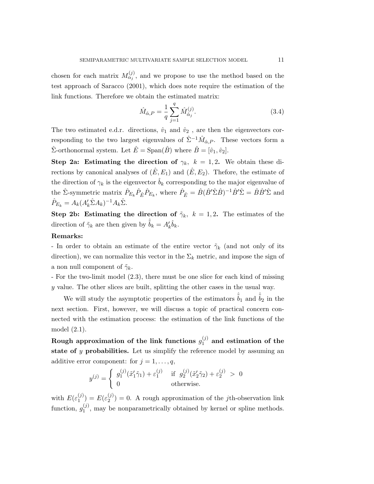chosen for each matrix  $M_{\alpha_j}^{(j)}$ , and we propose to use the method based on the test approach of Saracco (2001), which does note require the estimation of the link functions. Therefore we obtain the estimated matrix:

$$
\hat{M}_{\hat{\alpha},P} = \frac{1}{q} \sum_{j=1}^{q} \hat{M}_{\hat{\alpha}_j}^{(j)}.
$$
\n(3.4)

The two estimated e.d.r. directions,  $\hat{v}_1$  and  $\hat{v}_2$ , are then the eigenvectors corresponding to the two largest eigenvalues of  $\hat{\Sigma}^{-1} \hat{M}_{\hat{\alpha},P}$ . These vectors form a  $\hat{\Sigma}$ -orthonormal system. Let  $\hat{E} = \text{Span}(\hat{B})$  where  $\hat{B} = [\hat{v}_1, \hat{v}_2]$ .

Step 2a: Estimating the direction of  $\gamma_k$ ,  $k = 1, 2$ . We obtain these directions by canonical analyses of  $(\hat{E}, E_1)$  and  $(\hat{E}, E_2)$ . Thefore, the estimate of the direction of  $\gamma_k$  is the eigenvector  $\hat{b}_k$  corresponding to the major eigenvalue of the  $\hat{\Sigma}$ -symmetric matrix  $\hat{P}_{E_k}\hat{P}_{\hat{E}}\hat{P}_{E_k}$ , where  $\hat{P}_{\hat{E}} = \hat{B}(\hat{B}'\hat{\Sigma}\hat{B})^{-1}\hat{B}'\hat{\Sigma} = \hat{B}\hat{B}'\hat{\Sigma}$  and  $\hat{P}_{E_k} = A_k (A'_k \hat{\Sigma} A_k)^{-1} A_k \hat{\Sigma}.$ 

Step 2b: Estimating the direction of  $\tilde{\gamma}_k$ ,  $k = 1, 2$ . The estimates of the direction of  $\tilde{\gamma}_k$  are then given by  $\hat{\tilde{b}}_k = A'_k \hat{b}_k$ .

# Remarks:

- In order to obtain an estimate of the entire vector  $\tilde{\gamma}_k$  (and not only of its direction), we can normalize this vector in the  $\Sigma_k$  metric, and impose the sign of a non null component of  $\tilde{\gamma}_k$ .

- For the two-limit model (2.3), there must be one slice for each kind of missing y value. The other slices are built, splitting the other cases in the usual way.

We will study the asymptotic properties of the estimators  $\hat{\tilde{b}}_1$  and  $\hat{\tilde{b}}_2$  in the next section. First, however, we will discuss a topic of practical concern connected with the estimation process: the estimation of the link functions of the model (2.1).

Rough approximation of the link functions  $g_1^{(j)}$  $1^{(1)}$  and estimation of the state of  $y$  probabilities. Let us simplify the reference model by assuming an additive error component: for  $j = 1, \ldots, q$ ,

$$
y^{(j)} = \begin{cases} g_1^{(j)}(\tilde{x}_1'\tilde{\gamma}_1) + \varepsilon_1^{(j)} & \text{if } g_2^{(j)}(\tilde{x}_2'\tilde{\gamma}_2) + \varepsilon_2^{(j)} > 0\\ 0 & \text{otherwise.} \end{cases}
$$

with  $E(\varepsilon_1^{(j)})$  $\binom{(j)}{1} = E(\varepsilon_2^{(j)})$  $2^{(j)} = 0$ . A rough approximation of the *j*th-observation link function,  $g_1^{(j)}$  $1<sup>(J)</sup>$ , may be nonparametrically obtained by kernel or spline methods.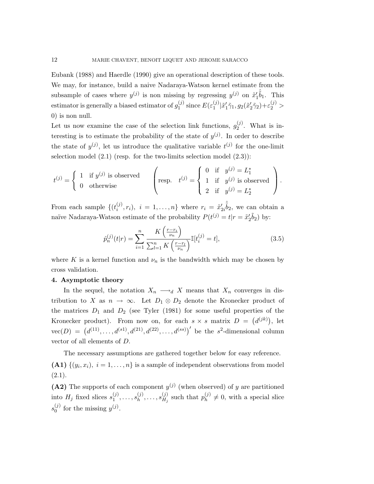Eubank (1988) and Haerdle (1990) give an operational description of these tools. We may, for instance, build a naive Nadaraya-Watson kernel estimate from the subsample of cases where  $y^{(j)}$  is non missing by regressing  $y^{(j)}$  on  $\tilde{x}'_1$  $\hat{i}_1 \hat{\tilde{b}}_1$ . This estimator is generally a biased estimator of  $g_1^{(j)}$  $_1^{(j)}$  since  $E(\varepsilon_1^{(j)})$  $_{1}^{\left( j\right) }|\tilde{x}_{1}^{\prime }$  $y'_1\tilde{\gamma}_1, g_2(\tilde{x}_2')$  $(z_2^j\tilde{\gamma}_2)+\varepsilon_2^{(j)}$ 0) is non null.

Let us now examine the case of the selection link functions,  $g_2^{(j)}$  $2^{(1)}$ . What is interesting is to estimate the probability of the state of  $y^{(j)}$ . In order to describe the state of  $y^{(j)}$ , let us introduce the qualitative variable  $t^{(j)}$  for the one-limit selection model  $(2.1)$  (resp. for the two-limits selection model  $(2.3)$ ):

$$
t^{(j)} = \left\{ \begin{array}{ll} 1 & \text{if } y^{(j)} \text{ is observed} \\ 0 & \text{otherwise} \end{array} \right. \quad \left( \text{resp.} \quad t^{(j)} = \left\{ \begin{array}{ll} 0 & \text{if} \quad y^{(j)} = L_1^* \\ 1 & \text{if} \quad y^{(j)} \text{ is observed} \\ 2 & \text{if} \quad y^{(j)} = L_2^* \end{array} \right) \right\}.
$$

From each sample  $\{t_i^{(j)}\}$  $(i^{(j)}_i, r_i), i = 1, ..., n$  where  $r_i = \tilde{x}_i^i$  $\langle \hat{i}_2 \hat{\tilde{b}}_2$ , we can obtain a naïve Nadaraya-Watson estimate of the probability  $P(t^{(j)} = t | r = \tilde{x}_i^j)$  $'_{2}\tilde{b}_{2})$  by:

$$
\hat{p}_n^{(j)}(t|r) = \sum_{i=1}^n \frac{K\left(\frac{r-r_i}{\nu_n}\right)}{\sum_{l=1}^n K\left(\frac{r-r_l}{\nu_n}\right)} \mathbb{I}[t_i^{(j)} = t],\tag{3.5}
$$

where K is a kernel function and  $\nu_n$  is the bandwidth which may be chosen by cross validation.

#### 4. Asymptotic theory

In the sequel, the notation  $X_n \longrightarrow_d X$  means that  $X_n$  converges in distribution to X as  $n \to \infty$ . Let  $D_1 \otimes D_2$  denote the Kronecker product of the matrices  $D_1$  and  $D_2$  (see Tyler (1981) for some useful properties of the Kronecker product). From now on, for each  $s \times s$  matrix  $D = (d^{(jk)})$ , let  $vec(D) = (d^{(11)}, \ldots, d^{(s1)}, d^{(21)}, d^{(22)}, \ldots, d^{(ss)})'$  be the s<sup>2</sup>-dimensional column vector of all elements of D.

The necessary assumptions are gathered together below for easy reference.

(A1)  $\{(y_i, x_i), i = 1, \ldots, n\}$  is a sample of independent observations from model  $(2.1).$ 

(A2) The supports of each component  $y^{(j)}$  (when observed) of y are partitioned into  $H_j$  fixed slices  $s_1^{(j)}$  $s_1^{(j)}, \ldots, s_h^{(j)}$  $s^{(j)}_h, \ldots, s^{(j)}_{H_j}$  $\binom{(j)}{H_j}$  such that  $p_h^{(j)}$  $h^{(j)} \neq 0$ , with a special slice  $s_0^{(j)}$  $y^{(j)}$  for the missing  $y^{(j)}$ .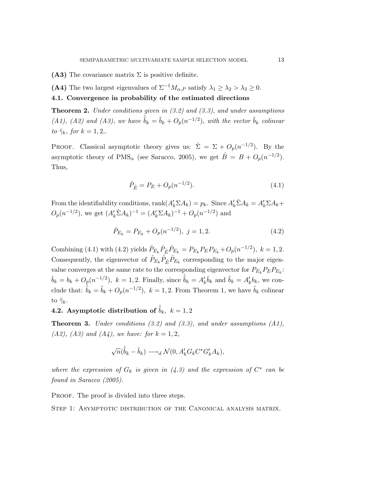(A3) The covariance matrix  $\Sigma$  is positive definite.

(A4) The two largest eigenvalues of  $\Sigma^{-1}M_{\alpha,P}$  satisfy  $\lambda_1 \geq \lambda_2 > \lambda_3 \geq 0$ .

4.1. Convergence in probability of the estimated directions

**Theorem 2.** Under conditions given in  $(3.2)$  and  $(3.3)$ , and under assumptions (A1), (A2) and (A3), we have  $\hat{b}_k = \tilde{b}_k + O_p(n^{-1/2})$ , with the vector  $\tilde{b}_k$  colinear to  $\tilde{\gamma}_k$ , for  $k = 1, 2,$ .

PROOF. Classical asymptotic theory gives us:  $\hat{\Sigma} = \Sigma + O_p(n^{-1/2})$ . By the asymptotic theory of PMS<sub> $\alpha$ </sub> (see Saracco, 2005), we get  $\hat{B} = B + O_p(n^{-1/2})$ . Thus,

$$
\hat{P}_{\hat{E}} = P_E + O_p(n^{-1/2}).\tag{4.1}
$$

From the identifiability conditions,  $rank(A'_k \Sigma A_k) = p_k$ . Since  $A'_k \hat{\Sigma} A_k = A'_k \Sigma A_k +$  $O_p(n^{-1/2})$ , we get  $(A'_k \hat{\Sigma} A_k)^{-1} = (A'_k \Sigma A_k)^{-1} + O_p(n^{-1/2})$  and

$$
\hat{P}_{E_k} = P_{E_k} + O_p(n^{-1/2}), \ j = 1, 2. \tag{4.2}
$$

Combining (4.1) with (4.2) yields  $\hat{P}_{E_k} \hat{P}_{\hat{E}} \hat{P}_{E_k} = P_{E_k} P_E P_{E_k} + O_p(n^{-1/2}), k = 1, 2.$ Consequently, the eigenvector of  $\hat{P}_{E_k} \hat{P}_{\hat{E}} \hat{P}_{E_k}$  corresponding to the major eigenvalue converges at the same rate to the corresponding eigenvector for  $P_{E_k} P_E P_{E_k}$ :  $\hat{b}_k = b_k + O_p(n^{-1/2}), \ k = 1, 2.$  Finally, since  $\hat{b}_k = A'_k \hat{b}_k$  and  $\tilde{b}_k = A'_k b_k$ , we conclude that:  $\hat{\tilde{b}}_k = \tilde{b}_k + O_p(n^{-1/2}), k = 1, 2$ . From Theorem 1, we have  $\tilde{b}_k$  colinear to  $\tilde{\gamma}_k$ .

**4.2.** Asymptotic distribution of  $\hat{b}_k$ ,  $k = 1, 2$ 

**Theorem 3.** Under conditions  $(3.2)$  and  $(3.3)$ , and under assumptions  $(A1)$ , (A2), (A3) and (A4), we have: for  $k = 1, 2$ ,

$$
\sqrt{n}(\hat{\tilde{b}}_k - \tilde{b}_k) \longrightarrow_d \mathcal{N}(0, A'_k G_k C^* G'_k A_k),
$$

where the expression of  $G_k$  is given in (4.3) and the expression of  $C^*$  can be found in Saracco (2005).

PROOF. The proof is divided into three steps.

Step 1: Asymptotic distribution of the Canonical analysis matrix.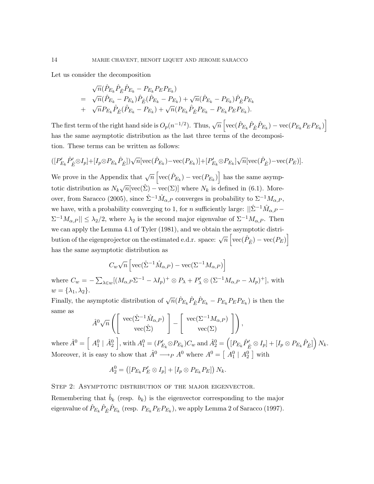Let us consider the decomposition

$$
\sqrt{n}(\hat{P}_{E_k}\hat{P}_{\hat{E}}\hat{P}_{E_k} - P_{E_k}P_E P_{E_k})
$$
\n
$$
= \sqrt{n}(\hat{P}_{E_k} - P_{E_k})\hat{P}_{\hat{E}}(\hat{P}_{E_k} - P_{E_k}) + \sqrt{n}(\hat{P}_{E_k} - P_{E_k})\hat{P}_{\hat{E}}P_{E_k}
$$
\n
$$
+ \sqrt{n}P_{E_k}\hat{P}_{\hat{E}}(\hat{P}_{E_k} - P_{E_k}) + \sqrt{n}(P_{E_k}\hat{P}_{\hat{E}}P_{E_k} - P_{E_k}P_E P_{E_k}).
$$

The first term of the right hand side is  $O_p(n^{-1/2})$ . Thus,  $\sqrt{n} \left[ \text{vec}(\hat{P}_{E_k} \hat{P}_{\hat{E}} \hat{P}_{E_k}) - \text{vec}(P_{E_k} P_E P_{E_k}) \right]$ has the same asymptotic distribution as the last three terms of the decomposition. These terms can be written as follows:

$$
([P'_{E_k}\hat{P}'_{\hat{E}} \otimes I_p] + [I_p \otimes P_{E_k}\hat{P}_{\hat{E}}])\sqrt{n}[\text{vec}(\hat{P}_{E_k}) - \text{vec}(P_{E_k})] + [P'_{E_k} \otimes P_{E_k}]\sqrt{n}[\text{vec}(\hat{P}_{\hat{E}}) - \text{vec}(P_E)].
$$

We prove in the Appendix that  $\sqrt{n} \left[ \text{vec}(\hat{P}_{E_k}) - \text{vec}(P_{E_k}) \right]$  has the same asymptotic distribution as  $N_k\sqrt{n}[\text{vec}(\hat{\Sigma}) - \text{vec}(\Sigma)]$  where  $N_k$  is defined in (6.1). Moreover, from Saracco (2005), since  $\hat{\Sigma}^{-1} \hat{M}_{\alpha,P}$  converges in probability to  $\Sigma^{-1} M_{\alpha,P}$ , we have, with a probability converging to 1, for n sufficiently large:  $||\hat{\Sigma}^{-1}\hat{M}_{\alpha,P} \Sigma^{-1} M_{\alpha,P}$  ||  $\leq \lambda_2/2$ , where  $\lambda_2$  is the second major eigenvalue of  $\Sigma^{-1} M_{\alpha,P}$ . Then we can apply the Lemma 4.1 of Tyler (1981), and we obtain the asymptotic distribution of the eigenprojector on the estimated e.d.r. space:  $\sqrt{n} \left[ \text{vec}(\hat{P}_{\hat{E}}) - \text{vec}(P_E) \right]$ has the same asymptotic distribution as

$$
C_w\sqrt{n}\left[\text{vec}(\hat{\Sigma}^{-1}\hat{M}_{\alpha,P}) - \text{vec}(\Sigma^{-1}M_{\alpha,P})\right]
$$

where  $C_w = -\sum_{\lambda \in w} [(M_{\alpha,P} \Sigma^{-1} - \lambda I_p)^+ \otimes P_{\lambda} + P'_{\lambda} \otimes (\Sigma^{-1} M_{\alpha,P} - \lambda I_p)^+]$ , with  $w = {\lambda_1, \lambda_2}.$ 

Finally, the asymptotic distribution of  $\sqrt{n}(\hat{P}_{E_k}\hat{P}_{\hat{E}}\hat{P}_{E_k} - P_{E_k}P_EP_{E_k})$  is then the same as

$$
\hat{A}^0 \sqrt{n} \left( \left[ \begin{array}{c} \text{vec}(\hat{\Sigma}^{-1} \hat{M}_{\alpha,P}) \\ \text{vec}(\hat{\Sigma}) \end{array} \right] - \left[ \begin{array}{c} \text{vec}(\Sigma^{-1} M_{\alpha,P}) \\ \text{vec}(\Sigma) \end{array} \right] \right),
$$

where  $\hat{A}^0 = \begin{bmatrix} A_1^0 \end{bmatrix} \hat{A}_2^0$ , with  $A_1^0 = (P'_R)$  $\mathcal{P}'_{E_k} \otimes P_{E_k}$ ) $C_w$  and  $\hat{A}_2^0 = \left( [P_{E_k} \hat{P}'_{\hat{E}} \otimes I_p] + [I_p \otimes P_{E_k} \hat{P}_{\hat{E}}] \right) N_k.$ Moreover, it is easy to show that  $\hat{A}^0 \longrightarrow_{P} A^0$  where  $A^0 = \left[ A_1^0 \mid A_2^0 \right]$  with

$$
A_2^0 = ([P_{E_k}P'_E \otimes I_p] + [I_p \otimes P_{E_k}P_E]) N_k.
$$

STEP 2: ASYMPTOTIC DISTRIBUTION OF THE MAJOR EIGENVECTOR.

Remembering that  $b_k$  (resp.  $b_k$ ) is the eigenvector corresponding to the major eigenvalue of  $\hat{P}_{E_k}\hat{P}_{\hat{E}}\hat{P}_{E_k}$  (resp.  $P_{E_k}P_E P_{E_k}$ ), we apply Lemma 2 of Saracco (1997).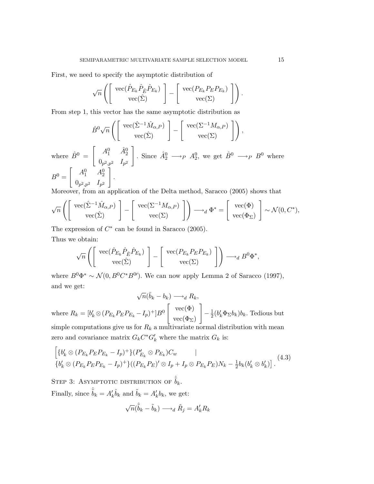First, we need to specify the asymptotic distribution of

$$
\sqrt{n}\left(\left[\begin{array}{c} \text{vec}(\hat{P}_{E_k}\hat{P}_{\hat{E}}\hat{P}_{E_k})\\ \text{vec}(\hat{\Sigma}) \end{array}\right] - \left[\begin{array}{c} \text{vec}(P_{E_k}P_E P_{E_k})\\ \text{vec}(\Sigma) \end{array}\right]\right).
$$

From step 1, this vector has the same asymptotic distribution as

$$
\hat{B}^0 \sqrt{n} \left( \left[ \begin{array}{c} \text{vec}(\hat{\Sigma}^{-1} \hat{M}_{\alpha,P}) \\ \text{vec}(\hat{\Sigma}) \end{array} \right] - \left[ \begin{array}{c} \text{vec}(\Sigma^{-1} M_{\alpha,P}) \\ \text{vec}(\Sigma) \end{array} \right] \right),
$$

where  $\hat{B}^0 = \begin{bmatrix} A_1^0 & \hat{A}_2^0 \end{bmatrix}$  $0_{p^2,p^2}$   $I_{p^2}$ . Since  $\hat{A}_2^0 \longrightarrow_P A_2^0$ , we get  $\hat{B}^0 \longrightarrow_P B^0$  where  $B^0 =$  $\begin{bmatrix} A_1^0 & A_2^0 \end{bmatrix}$  $0_{p^2,p^2}$   $I_{p^2}$ 1 .

Moreover, from an application of the Delta method, Saracco (2005) shows that

$$
\sqrt{n}\left(\begin{bmatrix}\n\operatorname{vec}(\hat{\Sigma}^{-1}\hat{M}_{\alpha,P}) \\
\operatorname{vec}(\hat{\Sigma})\n\end{bmatrix} - \begin{bmatrix}\n\operatorname{vec}(\Sigma^{-1}M_{\alpha,P}) \\
\operatorname{vec}(\Sigma)\n\end{bmatrix}\right) \longrightarrow_d \Phi^* = \begin{bmatrix}\n\operatorname{vec}(\Phi) \\
\operatorname{vec}(\Phi_{\Sigma})\n\end{bmatrix} \sim \mathcal{N}(0,C^*),
$$

The expression of  $C^*$  can be found in Saracco (2005). Thus we obtain:

$$
\sqrt{n}\left(\begin{bmatrix}\n\operatorname{vec}(\hat{P}_{E_k}\hat{P}_{\hat{E}}\hat{P}_{E_k}) \\
\operatorname{vec}(\hat{\Sigma})\n\end{bmatrix} - \begin{bmatrix}\n\operatorname{vec}(P_{E_k}P_E P_{E_k}) \\
\operatorname{vec}(\Sigma)\n\end{bmatrix}\right) \longrightarrow_d B^0\Phi^*,
$$

where  $B^0\Phi^* \sim \mathcal{N}(0, B^0C^*B^0)$ . We can now apply Lemma 2 of Saracco (1997), and we get:

$$
\sqrt{n}(\hat{b}_k - b_k) \longrightarrow_d R_k,
$$
  
where  $R_k = [b'_k \otimes (P_{E_k} P_E P_{E_k} - I_p)^+] B^0$ 
$$
\begin{bmatrix} \text{vec}(\Phi) \\ \text{vec}(\Phi_{\Sigma}) \end{bmatrix} - \frac{1}{2} (b'_k \Phi_{\Sigma} b_k) b_k.
$$
 Tedious but  
simple computations give us for  $R_k$  a multivariate normal distribution with mean

zero and covariance matrix  $G_k C^* G'_k$  where the matrix  $G_k$  is:

$$
\begin{aligned}\n\left[ \{ b'_k \otimes (P_{E_k} P_E P_{E_k} - I_p)^+ \} (P'_{E_k} \otimes P_{E_k}) C_w & \right] \\
\{ b'_k \otimes (P_{E_k} P_E P_{E_k} - I_p)^+ \} ((P_{E_k} P_E)' \otimes I_p + I_p \otimes P_{E_k} P_E) N_k - \frac{1}{2} b_k (b'_k \otimes b'_k)\n\end{aligned}\n\tag{4.3}
$$

STEP 3: ASYMPTOTIC DISTRIBUTION OF  $\hat{b}_k$ . Finally, since  $\hat{\tilde{b}}_k = A'_k \hat{b}_k$  and  $\tilde{b}_k = A'_k b_k$ , we get:

$$
\sqrt{n}(\hat{\tilde{b}}_k - \tilde{b}_k) \longrightarrow_d \tilde{R}_j = A'_k R_k
$$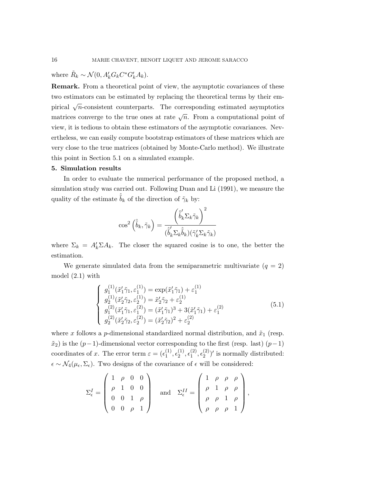where  $\tilde{R}_k \sim \mathcal{N}(0, A'_k G_k C^* G'_k A_k).$ 

Remark. From a theoretical point of view, the asymptotic covariances of these two estimators can be estimated by replacing the theoretical terms by their empirical  $\sqrt{n}$ -consistent counterparts. The corresponding estimated asymptotics matrices converge to the true ones at rate  $\sqrt{n}$ . From a computational point of view, it is tedious to obtain these estimators of the asymptotic covariances. Nevertheless, we can easily compute bootstrap estimators of these matrices which are very close to the true matrices (obtained by Monte-Carlo method). We illustrate this point in Section 5.1 on a simulated example.

#### 5. Simulation results

In order to evaluate the numerical performance of the proposed method, a simulation study was carried out. Following Duan and Li (1991), we measure the quality of the estimate  $\tilde{b}_k$  of the direction of  $\tilde{\gamma}_k$  by:

$$
\cos^2\left(\hat{\tilde{b}}_k, \tilde{\gamma}_k\right) = \frac{\left(\hat{\tilde{b}}_k'\Sigma_k\tilde{\gamma}_k\right)^2}{(\hat{\tilde{b}}_k'\Sigma_k\hat{\tilde{b}}_k)(\tilde{\gamma}_k'\Sigma_k\tilde{\gamma}_k)}
$$

where  $\Sigma_k = A'_k \Sigma A_k$ . The closer the squared cosine is to one, the better the estimation.

We generate simulated data from the semiparametric multivariate  $(q = 2)$ model (2.1) with

$$
\begin{cases}\ng_1^{(1)}(\tilde{x}_1'\tilde{\gamma}_1, \varepsilon_1^{(1)}) = \exp(\tilde{x}_1'\tilde{\gamma}_1) + \varepsilon_1^{(1)} \\
g_2^{(1)}(\tilde{x}_2'\tilde{\gamma}_2, \varepsilon_2^{(1)}) = \tilde{x}_2'\tilde{\gamma}_2 + \varepsilon_2^{(1)} \\
g_1^{(2)}(\tilde{x}_1'\tilde{\gamma}_1, \varepsilon_1^{(2)}) = (\tilde{x}_1'\tilde{\gamma}_1)^3 + 3(\tilde{x}_1'\tilde{\gamma}_1) + \varepsilon_1^{(2)} \\
g_2^{(2)}(\tilde{x}_2'\tilde{\gamma}_2, \varepsilon_2^{(2)}) = (\tilde{x}_2'\tilde{\gamma}_2)^2 + \varepsilon_2^{(2)}\n\end{cases} \tag{5.1}
$$

,

where x follows a p-dimensional standardized normal distribution, and  $\tilde{x}_1$  (resp.  $\tilde{x}_2$ ) is the  $(p-1)$ -dimensional vector corresponding to the first (resp. last)  $(p-1)$ coordinates of x. The error term  $\varepsilon = (\epsilon_1^{(1)})$  $\binom{11}{}$ ,  $\epsilon_2^{(1)}$  $\mathcal{L}^{(1)}, \epsilon_1^{(2)}$  $\binom{2}{1}, \epsilon_2^{(2)}$  $\binom{2}{2}$ ' is normally distributed:  $\epsilon \sim \mathcal{N}_4(\mu_{\epsilon}, \Sigma_{\epsilon})$ . Two designs of the covariance of  $\epsilon$  will be considered:

$$
\Sigma_{\epsilon}^{I} = \begin{pmatrix} 1 & \rho & 0 & 0 \\ \rho & 1 & 0 & 0 \\ 0 & 0 & 1 & \rho \\ 0 & 0 & \rho & 1 \end{pmatrix} \text{ and } \Sigma_{\epsilon}^{II} = \begin{pmatrix} 1 & \rho & \rho & \rho \\ \rho & 1 & \rho & \rho \\ \rho & \rho & 1 & \rho \\ \rho & \rho & \rho & 1 \end{pmatrix}
$$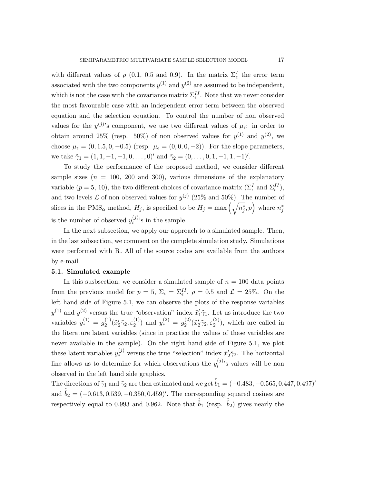with different values of  $\rho$  (0.1, 0.5 and 0.9). In the matrix  $\Sigma_{\epsilon}^{I}$  the error term associated with the two components  $y^{(1)}$  and  $y^{(2)}$  are assumed to be independent, which is not the case with the covariance matrix  $\Sigma_{\epsilon}^{II}$ . Note that we never consider the most favourable case with an independent error term between the observed equation and the selection equation. To control the number of non observed values for the  $y^{(j)}$ 's component, we use two different values of  $\mu_{\epsilon}$ : in order to obtain around 25% (resp. 50%) of non observed values for  $y^{(1)}$  and  $y^{(2)}$ , we choose  $\mu_{\epsilon} = (0, 1.5, 0, -0.5)$  (resp.  $\mu_{\epsilon} = (0, 0, 0, -2)$ ). For the slope parameters, we take  $\tilde{\gamma}_1 = (1, 1, -1, -1, 0, \dots, 0)'$  and  $\tilde{\gamma}_2 = (0, \dots, 0, 1, -1, 1, -1)'$ .

To study the performance of the proposed method, we consider different sample sizes  $(n = 100, 200, 300)$ , various dimensions of the explanatory variable  $(p = 5, 10)$ , the two different choices of covariance matrix  $(\Sigma_{\epsilon}^{I} \text{ and } \Sigma_{\epsilon}^{II}),$ and two levels  $\mathcal L$  of non observed values for  $y^{(j)}$  (25% and 50%). The number of slices in the PMS<sub> $\alpha$ </sub> method,  $H_j$ , is specified to be  $H_j = \max\left(\sqrt{n_j^*}\right)$  $\left( \frac{1}{j},p\right)$  where  $n_{j}^{\ast}$ j is the number of observed  $y_i^{(j)}$  $i^{(j)}$ 's in the sample.

In the next subsection, we apply our approach to a simulated sample. Then, in the last subsection, we comment on the complete simulation study. Simulations were performed with R. All of the source codes are available from the authors by e-mail.

## 5.1. Simulated example

In this susbsection, we consider a simulated sample of  $n = 100$  data points from the previous model for  $p = 5$ ,  $\Sigma_{\epsilon} = \Sigma_{\epsilon}^{II}$ ,  $\rho = 0.5$  and  $\mathcal{L} = 25\%$ . On the left hand side of Figure 5.1, we can observe the plots of the response variables  $y^{(1)}$  and  $y^{(2)}$  versus the true "observation" index  $\tilde{x}'_1$  $y_1'\tilde{\gamma}_1$ . Let us introduce the two variables  $y_*^{(1)} = g_2^{(1)}$  $_2^{(1)}(\tilde x'_2$  $\tilde{\gamma_2}, \varepsilon_2^{(1)}$  $y_*^{(1)}$  and  $y_*^{(2)} = g_2^{(2)}$  $_2^{(2)}(\tilde x'_2$  $\tilde{\gamma_2}, \varepsilon_2^{(2)}$  $2^{(2)}$ , which are called in the literature latent variables (since in practice the values of these variables are never available in the sample). On the right hand side of Figure 5.1, we plot these latent variables  $y_*^{(j)}$  versus the true "selection" index  $\tilde{x}_i^{\ell}$  $y_2'\tilde{\gamma}_2$ . The horizontal line allows us to determine for which observations the  $y_i^{(j)}$  $i^{(J)}$ 's values will be non observed in the left hand side graphics.

The directions of  $\tilde{\gamma}_1$  and  $\tilde{\gamma}_2$  are then estimated and we get  $\tilde{b}_1 = (-0.483, -0.565, 0.447, 0.497)'$ and  $\hat{b}_2 = (-0.613, 0.539, -0.350, 0.459)'$ . The corresponding squared cosines are respectively equal to 0.993 and 0.962. Note that  $\tilde{b}_1$  (resp.  $\tilde{b}_2$ ) gives nearly the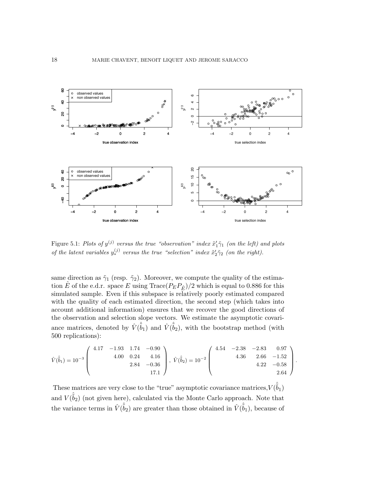

Figure 5.1: Plots of  $y^{(j)}$  versus the true "observation" index  $\tilde{x}'_1 \tilde{\gamma}_1$  (on the left) and plots of the latent variables  $y_*^{(j)}$  versus the true "selection" index  $\tilde{x}'_2 \tilde{\gamma}_2$  (on the right).

same direction as  $\tilde{\gamma}_1$  (resp.  $\tilde{\gamma}_2$ ). Moreover, we compute the quality of the estimation  $\hat{E}$  of the e.d.r. space E using Trace( $P_E P_{\hat{E}}$ )/2 which is equal to 0.886 for this simulated sample. Even if this subspace is relatively poorly estimated compared with the quality of each estimated direction, the second step (which takes into account additional information) ensures that we recover the good directions of the observation and selection slope vectors. We estimate the asymptotic covariance matrices, denoted by  $\hat{V}(\hat{\tilde{b}}_1)$  and  $\hat{V}(\hat{\tilde{b}}_2)$ , with the bootstrap method (with 500 replications):

$$
\hat{V}(\hat{b}_1) = 10^{-3} \begin{pmatrix} 4.17 & -1.93 & 1.74 & -0.90 \\ 4.00 & 0.24 & 4.16 \\ 2.84 & -0.36 \\ 17.1 \end{pmatrix}, \ \hat{V}(\hat{b}_2) = 10^{-2} \begin{pmatrix} 4.54 & -2.38 & -2.83 & 0.97 \\ 4.36 & 2.66 & -1.52 \\ 4.22 & -0.58 & 2.64 \end{pmatrix}.
$$

These matrices are very close to the "true" asymptotic covariance matrices,  $V(\hat{\hat{b}}_1)$ and  $V(\hat{b}_2)$  (not given here), calculated via the Monte Carlo approach. Note that the variance terms in  $\hat{V}(\hat{b}_2)$  are greater than those obtained in  $\hat{V}(\hat{b}_1)$ , because of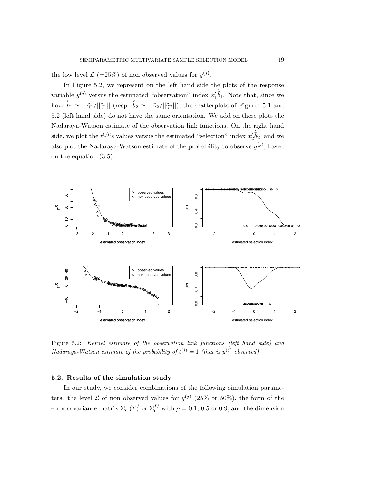the low level  $\mathcal{L}$  (=25%) of non observed values for  $y^{(j)}$ .

In Figure 5.2, we represent on the left hand side the plots of the response variable  $y^{(j)}$  versus the estimated "observation" index  $\tilde{x}'_1$  $\langle \hat{\tilde{b}}_1$ . Note that, since we have  $\tilde{b}_1 \simeq -\tilde{\gamma}_1/||\tilde{\gamma}_1||$  (resp.  $\tilde{b}_2 \simeq -\tilde{\gamma}_2/||\tilde{\gamma}_2||$ ), the scatterplots of Figures 5.1 and 5.2 (left hand side) do not have the same orientation. We add on these plots the Nadaraya-Watson estimate of the observation link functions. On the right hand side, we plot the  $t^{(j)}$ 's values versus the estimated "selection" index  $\tilde{x}_i^j$  $\langle \hat{\tilde{b}}_2, \text{ and we} \rangle$ also plot the Nadaraya-Watson estimate of the probability to observe  $y^{(j)}$ , based on the equation (3.5).



Figure 5.2: Kernel estimate of the observation link functions (left hand side) and Nadaraya-Watson estimate of the probability of  $t^{(j)} = 1$  (that is  $y^{(j)}$  observed)

# 5.2. Results of the simulation study

In our study, we consider combinations of the following simulation parameters: the level  $\mathcal L$  of non observed values for  $y^{(j)}$  (25% or 50%), the form of the error covariance matrix  $\Sigma_{\epsilon}$  ( $\Sigma_{\epsilon}^{I}$  or  $\Sigma_{\epsilon}^{II}$  with  $\rho = 0.1, 0.5$  or 0.9, and the dimension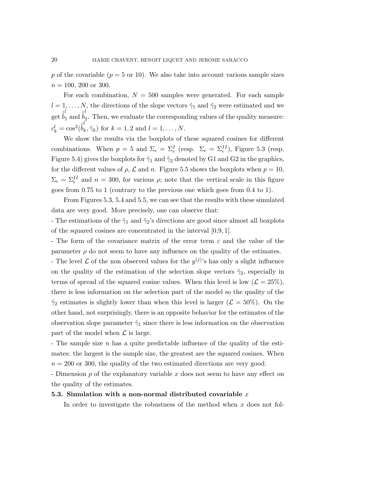p of the covariable  $(p = 5 \text{ or } 10)$ . We also take into account various sample sizes  $n = 100, 200$  or 300.

For each combination,  $N = 500$  samples were generated. For each sample  $l = 1, ..., N$ , the directions of the slope vectors  $\tilde{\gamma}_1$  and  $\tilde{\gamma}_2$  were estimated and we get  $\hat{\tilde{b}}_1^l$  and  $\hat{\tilde{b}}_2^l$ 2 . Then, we evaluate the corresponding values of the quality measure:  $c_k^l = \cos^2(\hat{\tilde{b}}_k^l)$  $(k, \tilde{\gamma}_k)$  for  $k = 1, 2$  and  $l = 1, \ldots, N$ .

We show the results via the boxplots of these squared cosines for different combinations. When  $p = 5$  and  $\Sigma_{\epsilon} = \Sigma_{\epsilon}^{I}$  (resp.  $\Sigma_{\epsilon} = \Sigma_{\epsilon}^{II}$ ), Figure 5.3 (resp. Figure 5.4) gives the boxplots for  $\tilde{\gamma}_1$  and  $\tilde{\gamma}_2$  denoted by G1 and G2 in the graphics, for the different values of  $\rho$ ,  $\mathcal L$  and n. Figure 5.5 shows the boxplots when  $p = 10$ ,  $\Sigma_{\epsilon} = \Sigma_{\epsilon}^{II}$  and  $n = 300$ , for various  $\rho$ ; note that the vertical scale in this figure goes from 0.75 to 1 (contrary to the previous one which goes from 0.4 to 1).

From Figures 5.3, 5.4 and 5.5, we can see that the results with these simulated data are very good. More precisely, one can observe that:

- The estimations of the  $\tilde{\gamma}_1$  and  $\tilde{\gamma}_2$ 's directions are good since almost all boxplots of the squared cosines are concentrated in the interval [0.9, 1].

- The form of the covariance matrix of the error term  $\varepsilon$  and the value of the parameter  $\rho$  do not seem to have any influence on the quality of the estimates. - The level  $\mathcal L$  of the non observed values for the  $y^{(j)}$ 's has only a slight influence on the quality of the estimation of the selection slope vectors  $\tilde{\gamma}_2$ , especially in terms of spread of the squared cosine values. When this level is low  $(L = 25\%)$ , there is less information on the selection part of the model so the quality of the  $\tilde{\gamma}_2$  estimates is slightly lower than when this level is larger ( $\mathcal{L} = 50\%$ ). On the other hand, not surprisingly, there is an opposite behavior for the estimates of the observation slope parameter  $\tilde{\gamma}_1$  since there is less information on the observation

- The sample size n has a quite predictable influence of the quality of the estimates: the largest is the sample size, the greatest are the squared cosines. When  $n = 200$  or 300, the quality of the two estimated directions are very good.

- Dimension p of the explanatory variable x does not seem to have any effect on the quality of the estimates.

#### 5.3. Simulation with a non-normal distributed covariable  $x$

part of the model when  $\mathcal L$  is large.

In order to investigate the robustness of the method when x does not fol-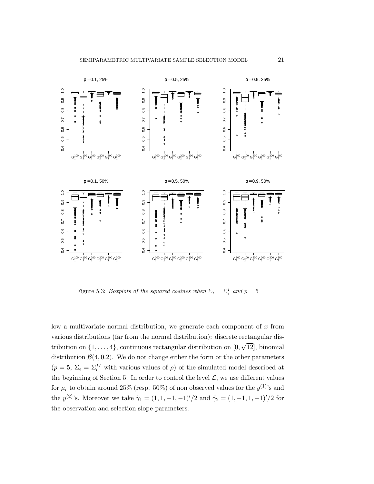

Figure 5.3: *Boxplots of the squared cosines when*  $\Sigma_{\epsilon} = \Sigma_{\epsilon}^{I}$  and  $p = 5$ 

low a multivariate normal distribution, we generate each component of  $x$  from various distributions (far from the normal distribution): discrete rectangular distribution on  $\{1, \ldots, 4\}$ , continuous rectangular distribution on  $[0, \sqrt{12}]$ , binomial distribution  $\mathcal{B}(4, 0.2)$ . We do not change either the form or the other parameters  $(p = 5, \Sigma_{\epsilon} = \Sigma_{\epsilon}^{II}$  with various values of  $\rho$ ) of the simulated model described at the beginning of Section 5. In order to control the level  $\mathcal{L}$ , we use different values for  $\mu_{\epsilon}$  to obtain around 25% (resp. 50%) of non observed values for the  $y^{(1)}$ 's and the  $y^{(2)}$ 's. Moreover we take  $\tilde{\gamma}_1 = (1, 1, -1, -1)'/2$  and  $\tilde{\gamma}_2 = (1, -1, 1, -1)'/2$  for the observation and selection slope parameters.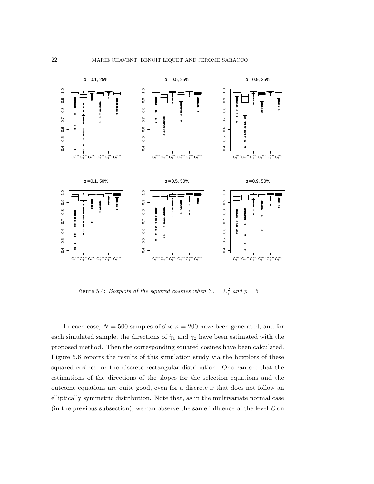

Figure 5.4: *Boxplots of the squared cosines when*  $\Sigma_{\epsilon} = \Sigma_{\epsilon}^2$  and  $p = 5$ 

In each case,  $N = 500$  samples of size  $n = 200$  have been generated, and for each simulated sample, the directions of  $\tilde{\gamma}_1$  and  $\tilde{\gamma}_2$  have been estimated with the proposed method. Then the corresponding squared cosines have been calculated. Figure 5.6 reports the results of this simulation study via the boxplots of these squared cosines for the discrete rectangular distribution. One can see that the estimations of the directions of the slopes for the selection equations and the outcome equations are quite good, even for a discrete  $x$  that does not follow an elliptically symmetric distribution. Note that, as in the multivariate normal case (in the previous subsection), we can observe the same influence of the level  $\mathcal L$  on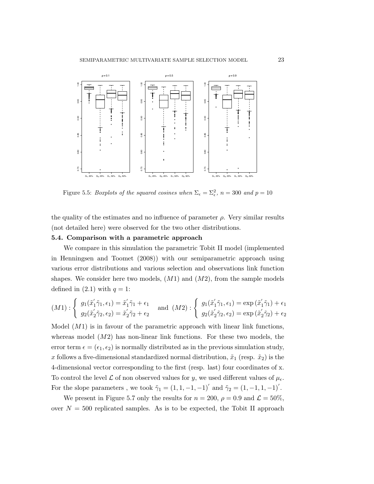

Figure 5.5: *Boxplots of the squared cosines when*  $\Sigma_{\epsilon} = \Sigma_{\epsilon}^2$ ,  $n = 300$  and  $p = 10$ 

the quality of the estimates and no influence of parameter  $\rho$ . Very similar results (not detailed here) were observed for the two other distributions.

#### 5.4. Comparison with a parametric approach

We compare in this simulation the parametric Tobit II model (implemented in Henningsen and Toomet (2008)) with our semiparametric approach using various error distributions and various selection and observations link function shapes. We consider here two models,  $(M1)$  and  $(M2)$ , from the sample models defined in  $(2.1)$  with  $q = 1$ :

$$
(M1): \begin{cases} g_1(\tilde{x}_1'\tilde{\gamma}_1, \epsilon_1) = \tilde{x}_1'\tilde{\gamma}_1 + \epsilon_1 \\ g_2(\tilde{x}_2'\tilde{\gamma}_2, \epsilon_2) = \tilde{x}_2'\tilde{\gamma}_2 + \epsilon_2 \end{cases} \text{ and } (M2): \begin{cases} g_1(\tilde{x}_1'\tilde{\gamma}_1, \epsilon_1) = \exp(\tilde{x}_1'\tilde{\gamma}_1) + \epsilon_1 \\ g_2(\tilde{x}_2'\tilde{\gamma}_2, \epsilon_2) = \exp(\tilde{x}_2'\tilde{\gamma}_2) + \epsilon_2 \end{cases}
$$

Model  $(M1)$  is in favour of the parametric approach with linear link functions, whereas model  $(M2)$  has non-linear link functions. For these two models, the error term  $\epsilon = (\epsilon_1, \epsilon_2)$  is normally distributed as in the previous simulation study, x follows a five-dimensional standardized normal distribution,  $\tilde{x}_1$  (resp.  $\tilde{x}_2$ ) is the 4-dimensional vector corresponding to the first (resp. last) four coordinates of x. To control the level  $\mathcal L$  of non observed values for y, we used different values of  $\mu_{\epsilon}$ . For the slope parameters , we took  $\tilde{\gamma}_1 = (1, 1, -1, -1)'$  and  $\tilde{\gamma}_2 = (1, -1, 1, -1)'$ .

We present in Figure 5.7 only the results for  $n = 200$ ,  $\rho = 0.9$  and  $\mathcal{L} = 50\%$ , over  $N = 500$  replicated samples. As is to be expected, the Tobit II approach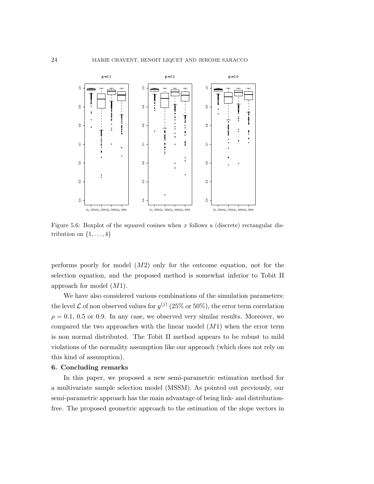

Figure 5.6: Boxplot of the squared cosines when  $x$  follows a (discrete) rectangular distribution on  $\{1, \ldots, 4\}$ 

performs poorly for model  $(M2)$  only for the outcome equation, not for the selection equation, and the proposed method is somewhat inferior to Tobit II approach for model (M1).

We have also considered various combinations of the simulation parameters: the level  $\mathcal L$  of non observed values for  $y^{(j)}$  (25% or 50%), the error term correlation  $\rho = 0.1, 0.5$  or 0.9. In any case, we observed very similar results. Moreover, we compared the two approaches with the linear model  $(M1)$  when the error term is non normal distributed. The Tobit II method appears to be robust to mild violations of the normality assumption like our approach (which does not rely on this kind of assumption).

#### 6. Concluding remarks

In this paper, we proposed a new semi-parametric estimation method for a multivariate sample selection model (MSSM). As pointed out previously, our semi-parametric approach has the main advantage of being link- and distributionfree. The proposed geometric approach to the estimation of the slope vectors in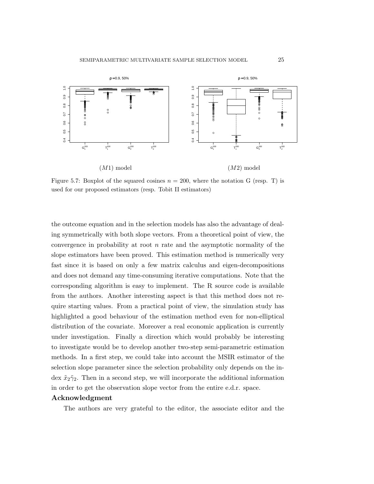

Figure 5.7: Boxplot of the squared cosines  $n = 200$ , where the notation G (resp. T) is used for our proposed estimators (resp. Tobit II estimators)

the outcome equation and in the selection models has also the advantage of dealing symmetrically with both slope vectors. From a theoretical point of view, the convergence in probability at root  $n$  rate and the asymptotic normality of the slope estimators have been proved. This estimation method is numerically very fast since it is based on only a few matrix calculus and eigen-decompositions and does not demand any time-consuming iterative computations. Note that the corresponding algorithm is easy to implement. The R source code is available from the authors. Another interesting aspect is that this method does not require starting values. From a practical point of view, the simulation study has highlighted a good behaviour of the estimation method even for non-elliptical distribution of the covariate. Moreover a real economic application is currently under investigation. Finally a direction which would probably be interesting to investigate would be to develop another two-step semi-parametric estimation methods. In a first step, we could take into account the MSIR estimator of the selection slope parameter since the selection probability only depends on the index  $\tilde{x}_2\tilde{\gamma}_2$ . Then in a second step, we will incorporate the additional information in order to get the observation slope vector from the entire e.d.r. space.

#### Acknowledgment

The authors are very grateful to the editor, the associate editor and the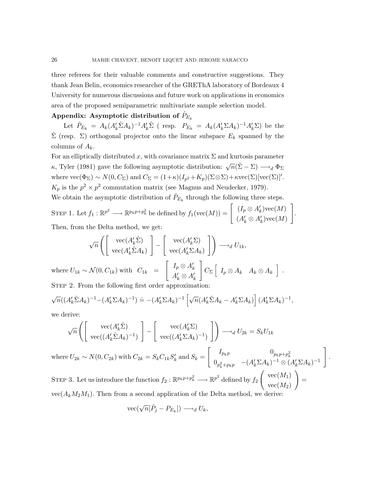three referees for their valuable comments and constructive suggestions. They thank Jean Belin, economics researcher of the GREThA laboratory of Bordeaux 4 University for numerous discussions and future work on applications in economics area of the proposed semiparametric multivariate sample selection model.

# Appendix: Asymptotic distribution of  $\hat{P}_{E_k}$

Let  $\hat{P}_{E_k} = A_k (A'_k \hat{\Sigma} A_k)^{-1} A'_k \hat{\Sigma}$  (resp.  $P_{E_k} = A_k (A'_k \Sigma A_k)^{-1} A'_k \Sigma$ ) be the  $\hat{\Sigma}$  (resp.  $\Sigma$ ) orthogonal projector onto the linear subspace  $E_k$  spanned by the columns of  $A_k$ .

For an elliptically distributed x, with covariance matrix  $\Sigma$  and kurtosis parameter  $\kappa$ , Tyler (1981) gave the following asymptotic distribution:  $\sqrt{n}(\hat{\Sigma} - \Sigma) \longrightarrow_d \Phi_{\Sigma}$ where  $\text{vec}(\Phi_{\Sigma}) \sim N(0, C_{\Sigma})$  and  $C_{\Sigma} = (1+\kappa)(I_{p^2} + K_p)(\Sigma \otimes \Sigma) + \kappa \text{vec}(\Sigma)[\text{vec}(\Sigma)]'.$  $K_p$  is the  $p^2 \times p^2$  commutation matrix (see Magnus and Neudecker, 1979).

We obtain the asymptotic distribution of  $\hat{P}_{E_k}$  through the following three steps.

STEP 1. Let  $f_1 : \mathbb{R}^{p^2} \longrightarrow \mathbb{R}^{p_k p + p_k^2}$  be defined by  $f_1(\text{vec}(M)) = \begin{bmatrix} (I_p \otimes A'_k) \text{vec}(M) \\ (A' \otimes A') \text{vec}(M) \end{bmatrix}$  $(A'_k \otimes A'_k)\text{vec}(M)$ 1 . Then, from the Delta method, we get:

$$
\sqrt{n}\left(\begin{bmatrix}\text{vec}(A'_k\hat{\Sigma})\\ \text{vec}(A'_k\hat{\Sigma}A_k)\end{bmatrix} - \begin{bmatrix}\text{vec}(A'_k\Sigma)\\ \text{vec}(A'_k\Sigma A_k)\end{bmatrix}\right) \longrightarrow_d U_{1k},
$$
  
where  $U_{1k} \sim \mathcal{N}(0, C_{1k})$  with  $C_{1k} = \begin{bmatrix} I_p \otimes A'_k\\ A'_k \otimes A'_k \end{bmatrix} C_{\Sigma} \begin{bmatrix} I_p \otimes A_k & A_k \otimes A_k \end{bmatrix}$ .

STEP 2. From the following first order approximation:

$$
\sqrt{n}((A'_k \hat{\Sigma} A_k)^{-1} - (A'_k \Sigma A_k)^{-1}) \doteq -(A'_k \Sigma A_k)^{-1} \left[ \sqrt{n} (A'_k \hat{\Sigma} A_k - A'_k \Sigma A_k) \right] (A'_k \Sigma A_k)^{-1},
$$

we derive:

$$
\sqrt{n}\left(\begin{bmatrix} \text{vec}(A'_k\hat{\Sigma}) \\ \text{vec}((A'_k\hat{\Sigma}A_k)^{-1}) \end{bmatrix} - \begin{bmatrix} \text{vec}(A'_k\Sigma) \\ \text{vec}((A'_k\hat{\Sigma}A_k)^{-1}) \end{bmatrix}\right) \longrightarrow_d U_{2k} = S_k U_{1k}
$$
\nwhere  $U_{2k} \sim N(0, C_{2k})$  with  $C_{2k} = S_k C_{1k} S'_k$  and  $S_k = \begin{bmatrix} I_{p_k p} & 0_{p_k p + p_k^2} \\ 0_{p_k^2 + p_k p} & -(A'_k \Sigma A_k)^{-1} \otimes (A'_k \Sigma A_k)^{-1} \end{bmatrix}$ .  
\n
$$
\text{STEP 3. Let us introduce the function } f_2 : \mathbb{R}^{p_k p + p_k^2} \longrightarrow \mathbb{R}^{p^2} \text{ defined by } f_2 \left(\begin{bmatrix} \text{vec}(M_1) \\ \text{vec}(M_2) \end{bmatrix} \right) = \text{vec}(A_k M_2 M_1) \text{ Then from a second application of the Delta method we derive:}
$$

 $vec(A_kM_2M_1)$ . Then from a second application of the Delta method, we derive:

$$
\text{vec}(\sqrt{n}[\hat{P}_j - P_{E_k}]) \longrightarrow_d U_k,
$$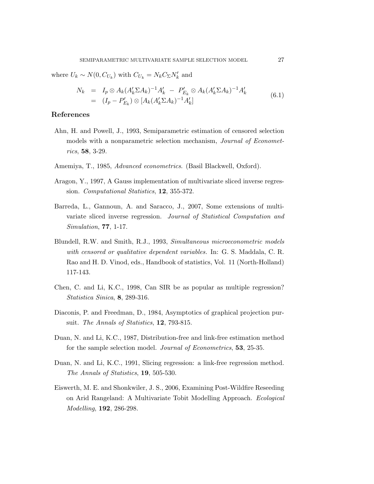where  $U_k \sim N(0, C_{U_k})$  with  $C_{U_k} = N_k C_{\Sigma} N'_k$  and

$$
N_k = I_p \otimes A_k (A'_k \Sigma A_k)^{-1} A'_k - P'_{E_k} \otimes A_k (A'_k \Sigma A_k)^{-1} A'_k
$$
  
=  $(I_p - P'_{E_k}) \otimes [A_k (A'_k \Sigma A_k)^{-1} A'_k]$  (6.1)

# References

- Ahn, H. and Powell, J., 1993, Semiparametric estimation of censored selection models with a nonparametric selection mechanism, Journal of Econometrics, 58, 3-29.
- Amemiya, T., 1985, Advanced econometrics. (Basil Blackwell, Oxford).
- Aragon, Y., 1997, A Gauss implementation of multivariate sliced inverse regression. Computational Statistics, 12, 355-372.
- Barreda, L., Gannoun, A. and Saracco, J., 2007, Some extensions of multivariate sliced inverse regression. Journal of Statistical Computation and Simulation, 77, 1-17.
- Blundell, R.W. and Smith, R.J., 1993, Simultaneous microeconometric models with censored or qualitative dependent variables. In: G. S. Maddala, C. R. Rao and H. D. Vinod, eds., Handbook of statistics, Vol. 11 (North-Holland) 117-143.
- Chen, C. and Li, K.C., 1998, Can SIR be as popular as multiple regression? Statistica Sinica, 8, 289-316.
- Diaconis, P. and Freedman, D., 1984, Asymptotics of graphical projection pursuit. The Annals of Statistics, 12, 793-815.
- Duan, N. and Li, K.C., 1987, Distribution-free and link-free estimation method for the sample selection model. Journal of Econometrics, 53, 25-35.
- Duan, N. and Li, K.C., 1991, Slicing regression: a link-free regression method. The Annals of Statistics, 19, 505-530.
- Eiswerth, M. E. and Shonkwiler, J. S., 2006, Examining Post-Wildfire Reseeding on Arid Rangeland: A Multivariate Tobit Modelling Approach. Ecological Modelling, 192, 286-298.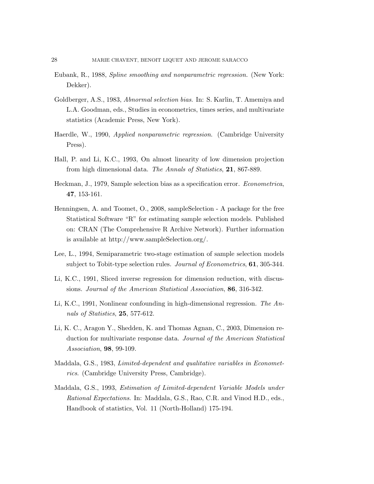- Eubank, R., 1988, Spline smoothing and nonparametric regression. (New York: Dekker).
- Goldberger, A.S., 1983, Abnormal selection bias. In: S. Karlin, T. Amemiya and L.A. Goodman, eds., Studies in econometrics, times series, and multivariate statistics (Academic Press, New York).
- Haerdle, W., 1990, Applied nonparametric regression. (Cambridge University Press).
- Hall, P. and Li, K.C., 1993, On almost linearity of low dimension projection from high dimensional data. The Annals of Statistics, 21, 867-889.
- Heckman, J., 1979, Sample selection bias as a specification error. Econometrica, 47, 153-161.
- Henningsen, A. and Toomet, O., 2008, sampleSelection A package for the free Statistical Software "R" for estimating sample selection models. Published on: CRAN (The Comprehensive R Archive Network). Further information is available at http://www.sampleSelection.org/.
- Lee, L., 1994, Semiparametric two-stage estimation of sample selection models subject to Tobit-type selection rules. *Journal of Econometrics*, **61**, 305-344.
- Li, K.C., 1991, Sliced inverse regression for dimension reduction, with discussions. Journal of the American Statistical Association, 86, 316-342.
- Li, K.C., 1991, Nonlinear confounding in high-dimensional regression. The Annals of Statistics, 25, 577-612.
- Li, K. C., Aragon Y., Shedden, K. and Thomas Agnan, C., 2003, Dimension reduction for multivariate response data. Journal of the American Statistical Association, 98, 99-109.
- Maddala, G.S., 1983, Limited-dependent and qualitative variables in Econometrics. (Cambridge University Press, Cambridge).
- Maddala, G.S., 1993, Estimation of Limited-dependent Variable Models under Rational Expectations. In: Maddala, G.S., Rao, C.R. and Vinod H.D., eds., Handbook of statistics, Vol. 11 (North-Holland) 175-194.